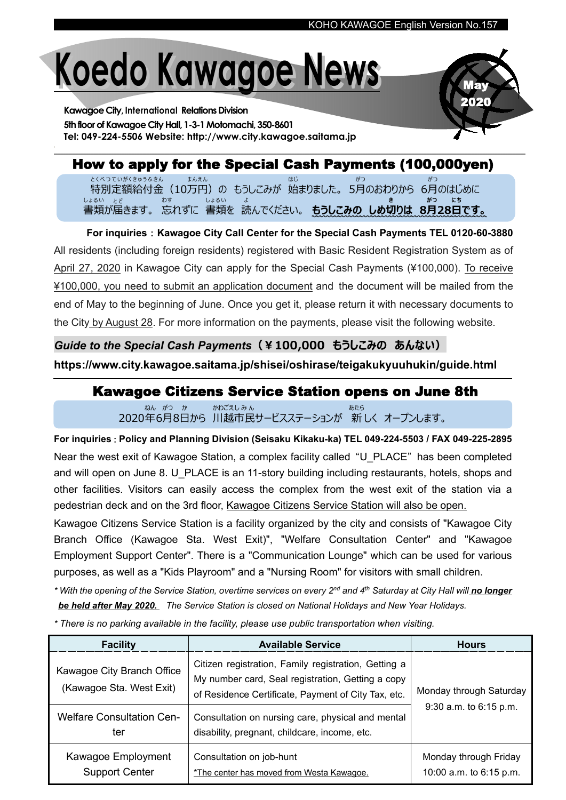# **Koedo Kawagoe News**

**KawagoeCity, International RelationsDivision 5thfloorofKawagoeCityHall, 1-3-1Motomachi, 350-8601 Tel: 049-224-5506 Website: http://www.city.kawagoe.saitama.jp**



## How to apply for the Special Cash Payments (100,000yen)

特別定額給付金(10万円)の もうしこみが 始まりました。 5月のおわりから 6月のはじめに とくべつていがくきゅうふきん まんえん はじ がつ がつ 書類が届きます。 忘れずに 書類を 読んでください。 **もうしこみの しめ切りは 8月28日です。** しょるい とど わす しょるい よ しゅうしん いっちょう しんかい きんじょう <mark>きんじかつ にち</mark>

**For inquiries**:**Kawagoe City Call Center for the Special Cash Payments TEL 0120-60-3880** All residents (including foreign residents) registered with Basic Resident Registration System as of April 27, 2020 in Kawagoe City can apply for the Special Cash Payments (¥100,000). To receive ¥100,000, you need to submit an application document and the document will be mailed from the end of May to the beginning of June. Once you get it, please return it with necessary documents to the City by August 28. For more information on the payments, please visit the following website.

#### *Guide to the Special Cash Payments***(¥100,000 もうしこみの あんない)**

**https://www.city.kawagoe.saitama.jp/shisei/oshirase/teigakukyuuhukin/guide.html**

#### Kawagoe Citizens Service Station opens on June 8th

2020年6月8日から 川越市民サービスステーションが 新 しく オープンします。 ねん がつ か かわごえしみん ちゅうしょう しゅうしゅう あたら

**For inquiries**:**Policy and Planning Division (Seisaku Kikaku-ka) TEL 049-224-5503 / FAX 049-225-2895** Near the west exit of Kawagoe Station, a complex facility called "U\_PLACE" has been completed and will open on June 8. U\_PLACE is an 11-story building including restaurants, hotels, shops and other facilities. Visitors can easily access the complex from the west exit of the station via a pedestrian deck and on the 3rd floor, Kawagoe Citizens Service Station will also be open.

Kawagoe Citizens Service Station is a facility organized by the city and consists of "Kawagoe City Branch Office (Kawagoe Sta. West Exit)", "Welfare Consultation Center" and "Kawagoe Employment Support Center". There is a "Communication Lounge" which can be used for various purposes, as well as a "Kids Playroom" and a "Nursing Room" for visitors with small children.

\* With the opening of the Service Station, overtime services on every 2<sup>nd</sup> and 4<sup>th</sup> Saturday at City Hall will<u> **no longer**</u> *be held after May 2020. The Service Station is closed on National Holidays and New Year Holidays.*

*\* There is no parking available in the facility, please use public transportation when visiting.*

| <b>Facility</b>                                                                            | <b>Available Service</b>                                                                                                                                                                                              | <b>Hours</b>                                      |
|--------------------------------------------------------------------------------------------|-----------------------------------------------------------------------------------------------------------------------------------------------------------------------------------------------------------------------|---------------------------------------------------|
| Kawagoe City Branch Office<br>(Kawagoe Sta. West Exit)<br><b>Welfare Consultation Cen-</b> | Citizen registration, Family registration, Getting a<br>My number card, Seal registration, Getting a copy<br>of Residence Certificate, Payment of City Tax, etc.<br>Consultation on nursing care, physical and mental | Monday through Saturday<br>9:30 a.m. to 6:15 p.m. |
| ter                                                                                        | disability, pregnant, childcare, income, etc.                                                                                                                                                                         |                                                   |
| Kawagoe Employment<br><b>Support Center</b>                                                | Consultation on job-hunt<br>*The center has moved from Westa Kawagoe.                                                                                                                                                 | Monday through Friday<br>10:00 a.m. to 6:15 p.m.  |